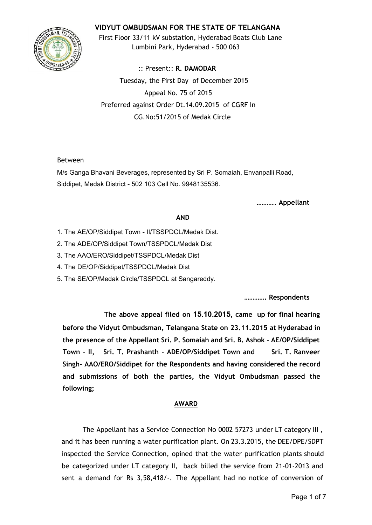## **VIDYUT OMBUDSMAN FOR THE STATE OF TELANGANA**



First Floor 33/11 kV substation, Hyderabad Boats Club Lane Lumbini Park, Hyderabad - 500 063

:: Present:: **R. DAMODAR** Tuesday, the First Day of December 2015 Appeal No. 75 of 2015 Preferred against Order Dt.14.09.2015 of CGRF In CG.No:51/2015 of Medak Circle

### Between

M/s Ganga Bhavani Beverages, represented by Sri P. Somaiah, Envanpalli Road, Siddipet, Medak District - 502 103 Cell No. 9948135536.

**……….. Appellant**

### **AND**

- 1. The AE/OP/Siddipet Town II/TSSPDCL/Medak Dist.
- 2. The ADE/OP/Siddipet Town/TSSPDCL/Medak Dist
- 3. The AAO/ERO/Siddipet/TSSPDCL/Medak Dist
- 4. The DE/OP/Siddipet/TSSPDCL/Medak Dist
- 5. The SE/OP/Medak Circle/TSSPDCL at Sangareddy.

**…………. Respondents**

**The above appeal filed on 15.10.2015, came up for final hearing before the Vidyut Ombudsman, Telangana State on 23.11.2015 at Hyderabad in the presence of the Appellant Sri. P. Somaiah and Sri. B. Ashok - AE/OP/Siddipet Town - II, Sri. T. Prashanth - ADE/OP/Siddipet Town and Sri. T. Ranveer Singh- AAO/ERO/Siddipet for the Respondents and having considered the record and submissions of both the parties, the Vidyut Ombudsman passed the following;**

## **AWARD**

The Appellant has a Service Connection No 0002 57273 under LT category III , and it has been running a water purification plant. On 23.3.2015, the DEE/DPE/SDPT inspected the Service Connection, opined that the water purification plants should be categorized under LT category II, back billed the service from 21-01-2013 and sent a demand for Rs 3,58,418/-. The Appellant had no notice of conversion of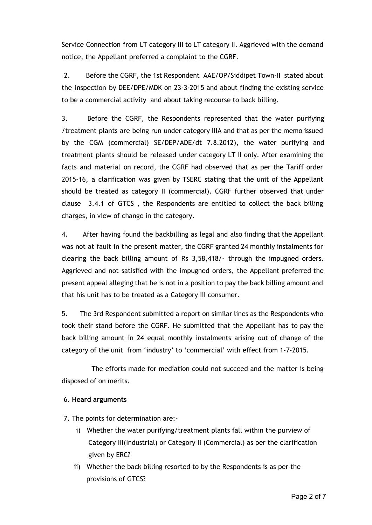Service Connection from LT category III to LT category II. Aggrieved with the demand notice, the Appellant preferred a complaint to the CGRF.

2. Before the CGRF, the 1st Respondent AAE/OP/Siddipet Town-II stated about the inspection by DEE/DPE/MDK on 23-3-2015 and about finding the existing service to be a commercial activity and about taking recourse to back billing.

3. Before the CGRF, the Respondents represented that the water purifying /treatment plants are being run under category IIIA and that as per the memo issued by the CGM (commercial) SE/DEP/ADE/dt 7.8.2012), the water purifying and treatment plants should be released under category LT II only. After examining the facts and material on record, the CGRF had observed that as per the Tariff order 2015-16, a clarification was given by TSERC stating that the unit of the Appellant should be treated as category II (commercial). CGRF further observed that under clause 3.4.1 of GTCS , the Respondents are entitled to collect the back billing charges, in view of change in the category.

4. After having found the backbilling as legal and also finding that the Appellant was not at fault in the present matter, the CGRF granted 24 monthly instalments for clearing the back billing amount of Rs 3,58,418/- through the impugned orders. Aggrieved and not satisfied with the impugned orders, the Appellant preferred the present appeal alleging that he is not in a position to pay the back billing amount and that his unit has to be treated as a Category III consumer.

5. The 3rd Respondent submitted a report on similar lines as the Respondents who took their stand before the CGRF. He submitted that the Appellant has to pay the back billing amount in 24 equal monthly instalments arising out of change of the category of the unit from 'industry' to 'commercial' with effect from 1-7-2015.

The efforts made for mediation could not succeed and the matter is being disposed of on merits.

### 6. **Heard arguments**

7. The points for determination are:-

- i) Whether the water purifying/treatment plants fall within the purview of Category III(Industrial) or Category II (Commercial) as per the clarification given by ERC?
- ii) Whether the back billing resorted to by the Respondents is as per the provisions of GTCS?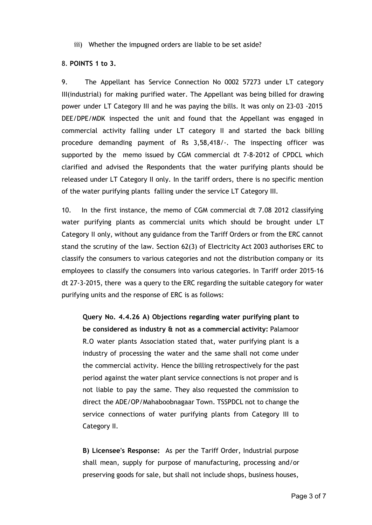iii) Whether the impugned orders are liable to be set aside?

### 8. **POINTS 1 to 3.**

9. The Appellant has Service Connection No 0002 57273 under LT category III(industrial) for making purified water. The Appellant was being billed for drawing power under LT Category III and he was paying the bills. It was only on 23-03 -2015 DEE/DPE/MDK inspected the unit and found that the Appellant was engaged in commercial activity falling under LT category II and started the back billing procedure demanding payment of Rs 3,58,418/-. The inspecting officer was supported by the memo issued by CGM commercial dt 7-8-2012 of CPDCL which clarified and advised the Respondents that the water purifying plants should be released under LT Category II only. In the tariff orders, there is no specific mention of the water purifying plants falling under the service LT Category III.

10. In the first instance, the memo of CGM commercial dt 7.08 2012 classifying water purifying plants as commercial units which should be brought under LT Category II only, without any guidance from the Tariff Orders or from the ERC cannot stand the scrutiny of the law. Section 62(3) of Electricity Act 2003 authorises ERC to classify the consumers to various categories and not the distribution company or its employees to classify the consumers into various categories. In Tariff order 2015-16 dt 27-3-2015, there was a query to the ERC regarding the suitable category for water purifying units and the response of ERC is as follows:

**Query No. 4.4.26 A) Objections regarding water purifying plant to be considered as industry & not as a commercial activity:** Palamoor R.O water plants Association stated that, water purifying plant is a industry of processing the water and the same shall not come under the commercial activity. Hence the billing retrospectively for the past period against the water plant service connections is not proper and is not liable to pay the same. They also requested the commission to direct the ADE/OP/Mahaboobnagaar Town. TSSPDCL not to change the service connections of water purifying plants from Category III to Category II.

**B) Licensee's Response:** As per the Tariff Order, Industrial purpose shall mean, supply for purpose of manufacturing, processing and/or preserving goods for sale, but shall not include shops, business houses,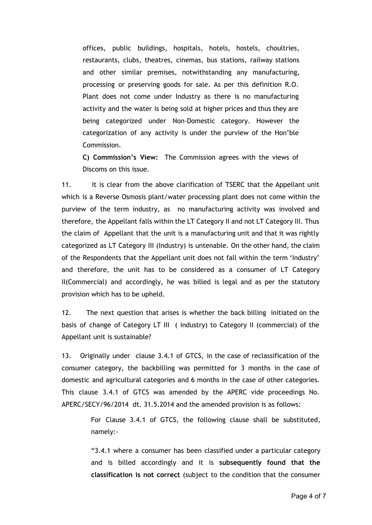offices, public buildings, hospitals, hotels, hostels, choultries, restaurants, clubs, theatres, cinemas, bus stations, railway stations and other similar premises, notwithstanding any manufacturing, processing or preserving goods for sale. As per this definition R.O. Plant does not come under Industry as there is no manufacturing activity and the water is being sold at higher prices and thus they are being categorized under Non-Domestic category. However the categorization of any activity is under the purview of the Hon'ble Commission.

**C) Commission's View:** The Commission agrees with the views of Discoms on this issue.

11. It is clear from the above clarification of TSERC that the Appellant unit which is a Reverse Osmosis plant/water processing plant does not come within the purview of the term industry, as no manufacturing activity was involved and therefore, the Appellant falls within the LT Category II and not LT Category III. Thus the claim of Appellant that the unit is a manufacturing unit and that it was rightly categorized as LT Category III (Industry) is untenable. On the other hand, the claim of the Respondents that the Appellant unit does not fall within the term 'Industry' and therefore, the unit has to be considered as a consumer of LT Category II(Commercial) and accordingly, he was billed is legal and as per the statutory provision which has to be upheld.

12. The next question that arises is whether the back billing initiated on the basis of change of Category LT III ( industry) to Category II (commercial) of the Appellant unit is sustainable?

13. Originally under clause 3.4.1 of GTCS, in the case of reclassification of the consumer category, the backbilling was permitted for 3 months in the case of domestic and agricultural categories and 6 months in the case of other categories. This clause 3.4.1 of GTCS was amended by the APERC vide proceedings No. APERC/SECY/96/2014 dt. 31.5.2014 and the amended provision is as follows:

> For Clause 3.4.1 of GTCS, the following clause shall be substituted, namely:-

> "3.4.1 where a consumer has been classified under a particular category and is billed accordingly and it is **subsequently found that the classification is not correct** (subject to the condition that the consumer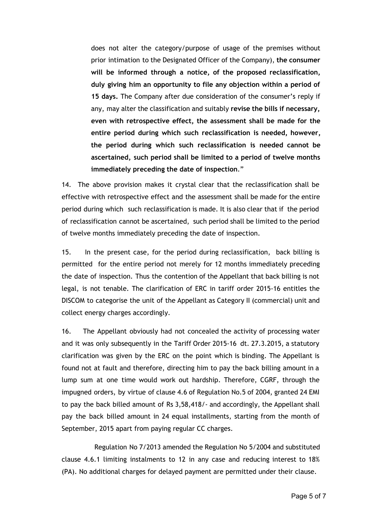does not alter the category/purpose of usage of the premises without prior intimation to the Designated Officer of the Company), **the consumer will be informed through a notice, of the proposed reclassification, duly giving him an opportunity to file any objection within a period of 15 days.** The Company after due consideration of the consumer's reply if any, may alter the classification and suitably **revise the bills if necessary, even with retrospective effect, the assessment shall be made for the entire period during which such reclassification is needed, however, the period during which such reclassification is needed cannot be ascertained, such period shall be limited to a period of twelve months immediately preceding the date of inspection**."

14. The above provision makes it crystal clear that the reclassification shall be effective with retrospective effect and the assessment shall be made for the entire period during which such reclassification is made. It is also clear that if the period of reclassification cannot be ascertained, such period shall be limited to the period of twelve months immediately preceding the date of inspection.

15. In the present case, for the period during reclassification, back billing is permitted for the entire period not merely for 12 months immediately preceding the date of inspection. Thus the contention of the Appellant that back billing is not legal, is not tenable. The clarification of ERC in tariff order 2015-16 entitles the DISCOM to categorise the unit of the Appellant as Category II (commercial) unit and collect energy charges accordingly.

16. The Appellant obviously had not concealed the activity of processing water and it was only subsequently in the Tariff Order 2015-16 dt. 27.3.2015, a statutory clarification was given by the ERC on the point which is binding. The Appellant is found not at fault and therefore, directing him to pay the back billing amount in a lump sum at one time would work out hardship. Therefore, CGRF, through the impugned orders, by virtue of clause 4.6 of Regulation No.5 of 2004, granted 24 EMI to pay the back billed amount of Rs 3,58,418/- and accordingly, the Appellant shall pay the back billed amount in 24 equal installments, starting from the month of September, 2015 apart from paying regular CC charges.

Regulation No 7/2013 amended the Regulation No 5/2004 and substituted clause 4.6.1 limiting instalments to 12 in any case and reducing interest to 18% (PA). No additional charges for delayed payment are permitted under their clause.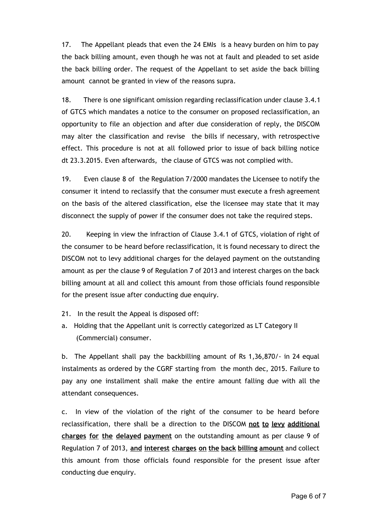17. The Appellant pleads that even the 24 EMIs is a heavy burden on him to pay the back billing amount, even though he was not at fault and pleaded to set aside the back billing order. The request of the Appellant to set aside the back billing amount cannot be granted in view of the reasons supra.

18. There is one significant omission regarding reclassification under clause 3.4.1 of GTCS which mandates a notice to the consumer on proposed reclassification, an opportunity to file an objection and after due consideration of reply, the DISCOM may alter the classification and revise the bills if necessary, with retrospective effect. This procedure is not at all followed prior to issue of back billing notice dt 23.3.2015. Even afterwards, the clause of GTCS was not complied with.

19. Even clause 8 of the Regulation 7/2000 mandates the Licensee to notify the consumer it intend to reclassify that the consumer must execute a fresh agreement on the basis of the altered classification, else the licensee may state that it may disconnect the supply of power if the consumer does not take the required steps.

20. Keeping in view the infraction of Clause 3.4.1 of GTCS, violation of right of the consumer to be heard before reclassification, it is found necessary to direct the DISCOM not to levy additional charges for the delayed payment on the outstanding amount as per the clause 9 of Regulation 7 of 2013 and interest charges on the back billing amount at all and collect this amount from those officials found responsible for the present issue after conducting due enquiry.

- 21. In the result the Appeal is disposed off:
- a. Holding that the Appellant unit is correctly categorized as LT Category II (Commercial) consumer.

b. The Appellant shall pay the backbilling amount of Rs 1,36,870/- in 24 equal instalments as ordered by the CGRF starting from the month dec, 2015. Failure to pay any one installment shall make the entire amount falling due with all the attendant consequences.

c. In view of the violation of the right of the consumer to be heard before reclassification, there shall be a direction to the DISCOM **not to levy additional charges for the delayed payment** on the outstanding amount as per clause 9 of Regulation 7 of 2013, **and interest charges on the back billing amount** and collect this amount from those officials found responsible for the present issue after conducting due enquiry.